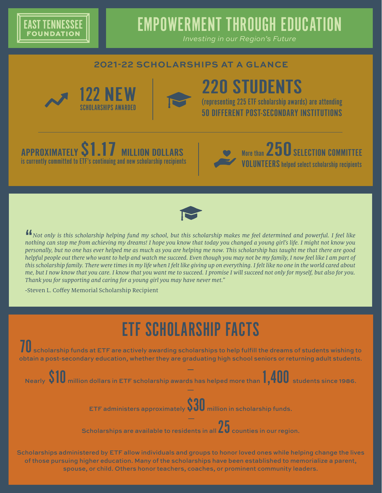

### EMPOWERMENT THROUGH EDUCATION

*Investing in our Region's Future*

### **2021-22 SCHOLARSHIPS AT A GLANCE**







# 220 STUDENTS

(representing 225 ETF scholarship awards) are attending 50 DIFFERENT POST-SECONDARY INSTITUTIONS

### APPROXIMATELY  $\textbf{51.1}$  Million Dollars is currently committed to ETF's continuing and new scholarship recipients





 $\frac{1}{10}$ *Not only is this scholarship helping fund my school, but this scholarship makes me feel determined and powerful. I feel like nothing can stop me from achieving my dreams! I hope you know that today you changed a young girl's life. I might not know you personally, but no one has ever helped me as much as you are helping me now. This scholarship has taught me that there are good helpful people out there who want to help and watch me succeed. Even though you may not be my family, I now feel like I am part of this scholarship family. There were times in my life when I felt like giving up on everything. I felt like no one in the world cared about me, but I now know that you care. I know that you want me to succeed. I promise I will succeed not only for myself, but also for you. Thank you for supporting and caring for a young girl you may have never met."*

-Steven L. Coffey Memorial Scholarship Recipient

## ETF SCHOLARSHIP FACTS

 $\prod_{n=1}^{\infty}$  scholarship funds at ETF are actively awarding scholarships to help fulfill the dreams of students wishing to obtain a post-secondary education, whether they are graduating high school seniors or returning adult students.

**—** Nearly \$10 million dollars in ETF scholarship awards has helped more than 1,400 students since 1986. —

ETF administers approximately \$30 million in scholarship funds.

 $\overline{\phantom{1}}$  Scholarships are available to residents in all  $\overline{\bf 25}$  counties in our region.

Scholarships administered by ETF allow individuals and groups to honor loved ones while helping change the lives of those pursuing higher education. Many of the scholarships have been established to memorialize a parent, spouse, or child. Others honor teachers, coaches, or prominent community leaders.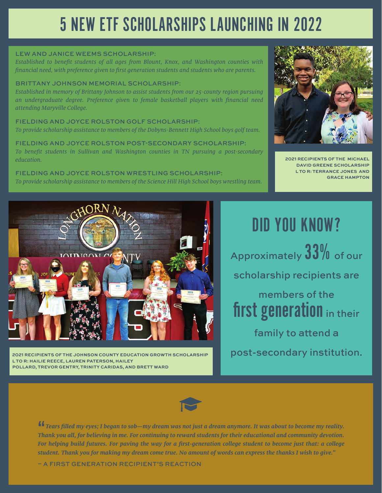### 5 NEW ETF SCHOLARSHIPS LAUNCHING IN 2022

#### LEW AND JANICE WEEMS SCHOLARSHIP:

*Established to benefit students of all ages from Blount, Knox, and Washington counties with financial need, with preference given to first generation students and students who are parents.*

#### BRITTANY JOHNSON MEMORIAL SCHOLARSHIP:

*Established in memory of Brittany Johnson to assist students from our 25-county region pursuing an undergraduate degree. Preference given to female basketball players with financial need attending Maryville College.*

FIELDING AND JOYCE ROLSTON GOLF SCHOLARSHIP: *To provide scholarship assistance to members of the Dobyns-Bennett High School boys golf team.*

FIELDING AND JOYCE ROLSTON POST-SECONDARY SCHOLARSHIP: *To benefit students in Sullivan and Washington counties in TN pursuing a post-secondary education.*

FIELDING AND JOYCE ROLSTON WRESTLING SCHOLARSHIP: *To provide scholarship assistance to members of the Science Hill High School boys wrestling team.*



**2021 RECIPIENTS OF THE MICHAEL DAVID GREENE SCHOLARSHIP L TO R: TERRANCE JONES AND GRACE HAMPTON**



**2021 RECIPIENTS OF THE JOHNSON COUNTY EDUCATION GROWTH SCHOLARSHIP L TO R: HAILIE REECE, LAUREN PATERSON, HAILEY POLLARD, TREVOR GENTRY, TRINITY CARIDAS, AND BRETT WARD**

### DID YOU KNOW?

Approximately  $33\%$  of our scholarship recipients are members of the first generation in their family to attend a post-secondary institution.



44<br>Th *Tears filled my eyes; I began to sob—my dream was not just a dream anymore. It was about to become my reality. Thank you all, for believing in me. For continuing to reward students for their educational and community devotion. For helping build futures. For paving the way for a first-generation college student to become just that: a college student. Thank you for making my dream come true. No amount of words can express the thanks I wish to give."*

– A FIRST GENERATION RECIPIENT'S REACTION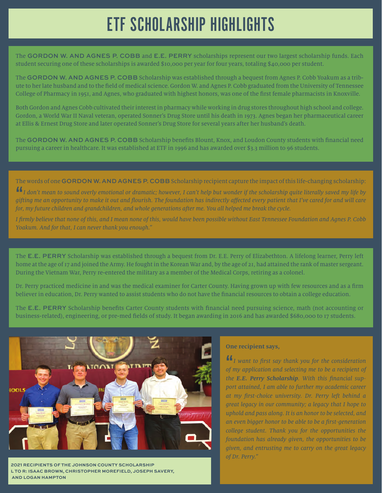### ETF SCHOLARSHIP HIGHLIGHTS

The GORDON W. AND AGNES P. COBB and E.E. PERRY scholarships represent our two largest scholarship funds. Each student securing one of these scholarships is awarded \$10,000 per year for four years, totaling \$40,000 per student.

The GORDON W. AND AGNES P. COBB Scholarship was established through a bequest from Agnes P. Cobb Yoakum as a tribute to her late husband and to the field of medical science. Gordon W. and Agnes P. Cobb graduated from the University of Tennessee College of Pharmacy in 1951, and Agnes, who graduated with highest honors, was one of the first female pharmacists in Knoxville.

Both Gordon and Agnes Cobb cultivated their interest in pharmacy while working in drug stores throughout high school and college. Gordon, a World War II Naval veteran, operated Sonner's Drug Store until his death in 1973. Agnes began her pharmaceutical career at Ellis & Ernest Drug Store and later operated Sonner's Drug Store for several years after her husband's death.

The GORDON W. AND AGNES P. COBB Scholarship benefits Blount, Knox, and Loudon County students with financial need pursuing a career in healthcare. It was established at ETF in 1996 and has awarded over \$3.3 million to 96 students.

The words of one GORDON W. AND AGNES P. COBB Scholarship recipient capture the impact of this life-changing scholarship:

**""**<br>gift *I don't mean to sound overly emotional or dramatic; however, I can't help but wonder if the scholarship quite literally saved my life by gifting me an opportunity to make it out and flourish. The foundation has indirectly affected every patient that I've cared for and will care for, my future children and grandchildren, and whole generations after me. You all helped me break the cycle.*

*I firmly believe that none of this, and I mean none of this, would have been possible without East Tennessee Foundation and Agnes P. Cobb Yoakum. And for that, I can never thank you enough."* 

The E.E. PERRY Scholarship was established through a bequest from Dr. E.E. Perry of Elizabethton. A lifelong learner, Perry left home at the age of 17 and joined the Army. He fought in the Korean War and, by the age of 21, had attained the rank of master sergeant. During the Vietnam War, Perry re-entered the military as a member of the Medical Corps, retiring as a colonel.

Dr. Perry practiced medicine in and was the medical examiner for Carter County. Having grown up with few resources and as a firm believer in education, Dr. Perry wanted to assist students who do not have the financial resources to obtain a college education.

The E.E. PERRY Scholarship benefits Carter County students with financial need pursuing science, math (not accounting or business-related), engineering, or pre-med fields of study. It began awarding in 2016 and has awarded \$680,000 to 17 students.



**2021 RECIPIENTS OF THE JOHNSON COUNTY SCHOLARSHIP L TO R: ISAAC BROWN, CHRISTOPHER MOREFIELD, JOSEPH SAVERY, AND LOGAN HAMPTON**

#### **One recipient says,**

*lI* want to first say thank you for the consideration of my application and selecting me to be a recipient of *I want to first say thank you for the consideration the E.E. Perry Scholarship. With this financial support attained, I am able to further my academic career at my first-choice university. Dr. Perry left behind a great legacy in our community; a legacy that I hope to uphold and pass along. It is an honor to be selected, and an even bigger honor to be able to be a first-generation college student. Thank you for the opportunities the foundation has already given, the opportunities to be given, and entrusting me to carry on the great legacy of Dr. Perry."*